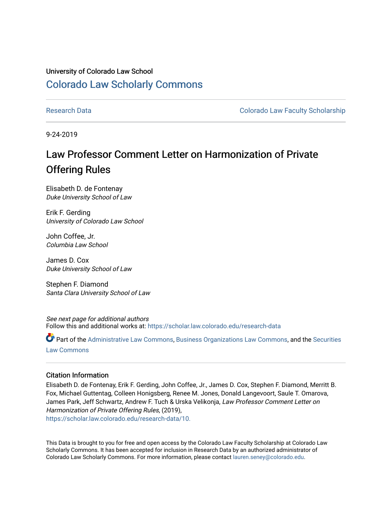# University of Colorado Law School [Colorado Law Scholarly Commons](https://scholar.law.colorado.edu/)

[Research Data](https://scholar.law.colorado.edu/research-data) [Colorado Law Faculty Scholarship](https://scholar.law.colorado.edu/colorado-law-faculty-scholarship) 

9-24-2019

# Law Professor Comment Letter on Harmonization of Private Offering Rules

Elisabeth D. de Fontenay Duke University School of Law

Erik F. Gerding University of Colorado Law School

John Coffee, Jr. Columbia Law School

James D. Cox Duke University School of Law

Stephen F. Diamond Santa Clara University School of Law

See next page for additional authors Follow this and additional works at: [https://scholar.law.colorado.edu/research-data](https://scholar.law.colorado.edu/research-data?utm_source=scholar.law.colorado.edu%2Fresearch-data%2F10&utm_medium=PDF&utm_campaign=PDFCoverPages) 

Part of the [Administrative Law Commons,](http://network.bepress.com/hgg/discipline/579?utm_source=scholar.law.colorado.edu%2Fresearch-data%2F10&utm_medium=PDF&utm_campaign=PDFCoverPages) [Business Organizations Law Commons](http://network.bepress.com/hgg/discipline/900?utm_source=scholar.law.colorado.edu%2Fresearch-data%2F10&utm_medium=PDF&utm_campaign=PDFCoverPages), and the [Securities](http://network.bepress.com/hgg/discipline/619?utm_source=scholar.law.colorado.edu%2Fresearch-data%2F10&utm_medium=PDF&utm_campaign=PDFCoverPages) [Law Commons](http://network.bepress.com/hgg/discipline/619?utm_source=scholar.law.colorado.edu%2Fresearch-data%2F10&utm_medium=PDF&utm_campaign=PDFCoverPages) 

#### Citation Information

Elisabeth D. de Fontenay, Erik F. Gerding, John Coffee, Jr., James D. Cox, Stephen F. Diamond, Merritt B. Fox, Michael Guttentag, Colleen Honigsberg, Renee M. Jones, Donald Langevoort, Saule T. Omarova, James Park, Jeff Schwartz, Andrew F. Tuch & Urska Velikonja, Law Professor Comment Letter on Harmonization of Private Offering Rules, (2019), [https://scholar.law.colorado.edu/research-data/10.](https://scholar.law.colorado.edu/research-data/10?utm_source=scholar.law.colorado.edu%2Fresearch-data%2F10&utm_medium=PDF&utm_campaign=PDFCoverPages) 

This Data is brought to you for free and open access by the Colorado Law Faculty Scholarship at Colorado Law Scholarly Commons. It has been accepted for inclusion in Research Data by an authorized administrator of Colorado Law Scholarly Commons. For more information, please contact [lauren.seney@colorado.edu.](mailto:lauren.seney@colorado.edu)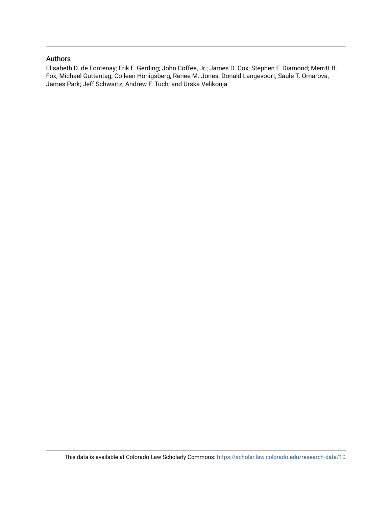#### Authors

Elisabeth D. de Fontenay; Erik F. Gerding; John Coffee, Jr.; James D. Cox; Stephen F. Diamond; Merritt B. Fox; Michael Guttentag; Colleen Honigsberg; Renee M. Jones; Donald Langevoort; Saule T. Omarova; James Park; Jeff Schwartz; Andrew F. Tuch; and Urska Velikonja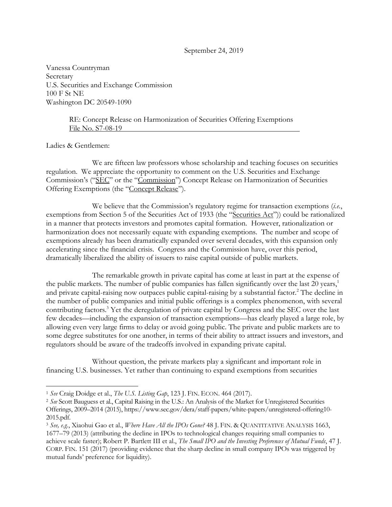#### September 24, 2019

Vanessa Countryman **Secretary** U.S. Securities and Exchange Commission 100 F St NE Washington DC 20549-1090

> RE: Concept Release on Harmonization of Securities Offering Exemptions File No. S7-08-19

Ladies & Gentlemen:

 $\overline{\phantom{a}}$ 

We are fifteen law professors whose scholarship and teaching focuses on securities regulation. We appreciate the opportunity to comment on the U.S. Securities and Exchange Commission's ("SEC" or the "Commission") Concept Release on Harmonization of Securities Offering Exemptions (the "Concept Release").

We believe that the Commission's regulatory regime for transaction exemptions (*i.e.*, exemptions from Section 5 of the Securities Act of 1933 (the "Securities Act")) could be rationalized in a manner that protects investors and promotes capital formation. However, rationalization or harmonization does not necessarily equate with expanding exemptions. The number and scope of exemptions already has been dramatically expanded over several decades, with this expansion only accelerating since the financial crisis. Congress and the Commission have, over this period, dramatically liberalized the ability of issuers to raise capital outside of public markets.

The remarkable growth in private capital has come at least in part at the expense of the public markets. The number of public companies has fallen significantly over the last 20 years,<sup>1</sup> and private capital-raising now outpaces public capital-raising by a substantial factor.<sup>2</sup> The decline in the number of public companies and initial public offerings is a complex phenomenon, with several contributing factors.<sup>3</sup> Yet the deregulation of private capital by Congress and the SEC over the last few decades—including the expansion of transaction exemptions—has clearly played a large role, by allowing even very large firms to delay or avoid going public. The private and public markets are to some degree substitutes for one another, in terms of their ability to attract issuers and investors, and regulators should be aware of the tradeoffs involved in expanding private capital.

Without question, the private markets play a significant and important role in financing U.S. businesses. Yet rather than continuing to expand exemptions from securities

<sup>1</sup> *See* Craig Doidge et al., *The U.S. Listing Gap*, 123 J. FIN. ECON. 464 (2017).

<sup>2</sup> *See* Scott Bauguess et al., Capital Raising in the U.S.: An Analysis of the Market for Unregistered Securities Offerings, 2009–2014 (2015), https://www.sec.gov/dera/staff-papers/white-papers/unregistered-offering10- 2015.pdf.

<sup>3</sup> *See, e.g.*, Xiaohui Gao et al., *Where Have All the IPOs Gone?* 48 J. FIN. & QUANTITATIVE ANALYSIS 1663, 1677–79 (2013) (attributing the decline in IPOs to technological changes requiring small companies to achieve scale faster); Robert P. Bartlett III et al., *The Small IPO and the Investing Preferences of Mutual Funds*, 47 J. CORP. FIN. 151 (2017) (providing evidence that the sharp decline in small company IPOs was triggered by mutual funds' preference for liquidity).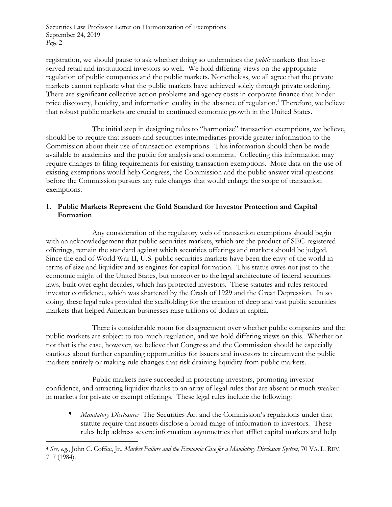registration, we should pause to ask whether doing so undermines the *public* markets that have served retail and institutional investors so well. We hold differing views on the appropriate regulation of public companies and the public markets. Nonetheless, we all agree that the private markets cannot replicate what the public markets have achieved solely through private ordering. There are significant collective action problems and agency costs in corporate finance that hinder price discovery, liquidity, and information quality in the absence of regulation.<sup>4</sup> Therefore, we believe that robust public markets are crucial to continued economic growth in the United States.

The initial step in designing rules to "harmonize" transaction exemptions, we believe, should be to require that issuers and securities intermediaries provide greater information to the Commission about their use of transaction exemptions. This information should then be made available to academics and the public for analysis and comment. Collecting this information may require changes to filing requirements for existing transaction exemptions. More data on the use of existing exemptions would help Congress, the Commission and the public answer vital questions before the Commission pursues any rule changes that would enlarge the scope of transaction exemptions.

#### **1. Public Markets Represent the Gold Standard for Investor Protection and Capital Formation**

Any consideration of the regulatory web of transaction exemptions should begin with an acknowledgement that public securities markets, which are the product of SEC-registered offerings, remain the standard against which securities offerings and markets should be judged. Since the end of World War II, U.S. public securities markets have been the envy of the world in terms of size and liquidity and as engines for capital formation. This status owes not just to the economic might of the United States, but moreover to the legal architecture of federal securities laws, built over eight decades, which has protected investors. These statutes and rules restored investor confidence, which was shattered by the Crash of 1929 and the Great Depression. In so doing, these legal rules provided the scaffolding for the creation of deep and vast public securities markets that helped American businesses raise trillions of dollars in capital.

There is considerable room for disagreement over whether public companies and the public markets are subject to too much regulation, and we hold differing views on this. Whether or not that is the case, however, we believe that Congress and the Commission should be especially cautious about further expanding opportunities for issuers and investors to circumvent the public markets entirely or making rule changes that risk draining liquidity from public markets.

Public markets have succeeded in protecting investors, promoting investor confidence, and attracting liquidity thanks to an array of legal rules that are absent or much weaker in markets for private or exempt offerings. These legal rules include the following:

¶ *Mandatory Disclosure:* The Securities Act and the Commission's regulations under that statute require that issuers disclose a broad range of information to investors. These rules help address severe information asymmetries that afflict capital markets and help

<sup>4</sup> *See, e.g.*, John C. Coffee, Jr., *Market Failure and the Economic Case for a Mandatory Disclosure System*, 70 VA. L. REV. 717 (1984).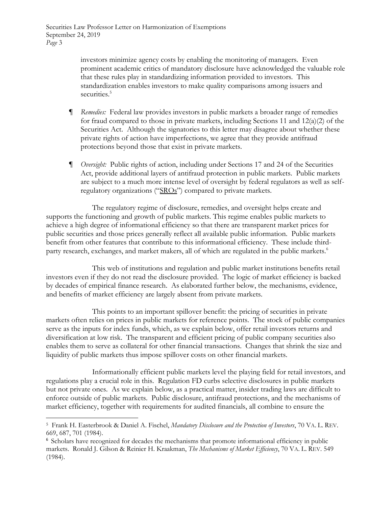investors minimize agency costs by enabling the monitoring of managers. Even prominent academic critics of mandatory disclosure have acknowledged the valuable role that these rules play in standardizing information provided to investors. This standardization enables investors to make quality comparisons among issuers and securities.<sup>5</sup>

- ¶ *Remedies:* Federal law provides investors in public markets a broader range of remedies for fraud compared to those in private markets, including Sections 11 and 12(a)(2) of the Securities Act. Although the signatories to this letter may disagree about whether these private rights of action have imperfections, we agree that they provide antifraud protections beyond those that exist in private markets.
- ¶ *Oversight:* Public rights of action, including under Sections 17 and 24 of the Securities Act, provide additional layers of antifraud protection in public markets. Public markets are subject to a much more intense level of oversight by federal regulators as well as selfregulatory organizations ("SROs") compared to private markets.

The regulatory regime of disclosure, remedies, and oversight helps create and supports the functioning and growth of public markets. This regime enables public markets to achieve a high degree of informational efficiency so that there are transparent market prices for public securities and those prices generally reflect all available public information. Public markets benefit from other features that contribute to this informational efficiency. These include thirdparty research, exchanges, and market makers, all of which are regulated in the public markets.<sup>6</sup>

This web of institutions and regulation and public market institutions benefits retail investors even if they do not read the disclosure provided. The logic of market efficiency is backed by decades of empirical finance research. As elaborated further below, the mechanisms, evidence, and benefits of market efficiency are largely absent from private markets.

This points to an important spillover benefit: the pricing of securities in private markets often relies on prices in public markets for reference points. The stock of public companies serve as the inputs for index funds, which, as we explain below, offer retail investors returns and diversification at low risk. The transparent and efficient pricing of public company securities also enables them to serve as collateral for other financial transactions. Changes that shrink the size and liquidity of public markets thus impose spillover costs on other financial markets.

Informationally efficient public markets level the playing field for retail investors, and regulations play a crucial role in this. Regulation FD curbs selective disclosures in public markets but not private ones. As we explain below, as a practical matter, insider trading laws are difficult to enforce outside of public markets. Public disclosure, antifraud protections, and the mechanisms of market efficiency, together with requirements for audited financials, all combine to ensure the

 $\overline{\phantom{a}}$ 5 Frank H. Easterbrook & Daniel A. Fischel, *Mandatory Disclosure and the Protection of Investors*, 70 VA. L. REV. 669, 687, 701 (1984).

<sup>&</sup>lt;sup>6</sup> Scholars have recognized for decades the mechanisms that promote informational efficiency in public markets. Ronald J. Gilson & Reinier H. Kraakman, *The Mechanisms of Market Efficiency*, 70 VA. L. REV. 549 (1984).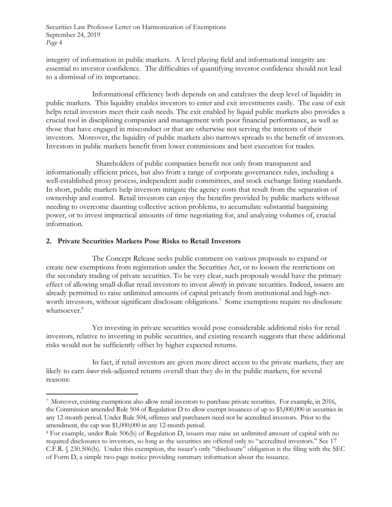integrity of information in public markets. A level playing field and informational integrity are essential to investor confidence. The difficulties of quantifying investor confidence should not lead to a dismissal of its importance.

Informational efficiency both depends on and catalyzes the deep level of liquidity in public markets. This liquidity enables investors to enter and exit investments easily. The ease of exit helps retail investors meet their cash needs. The exit enabled by liquid public markets also provides a crucial tool in disciplining companies and management with poor financial performance, as well as those that have engaged in misconduct or that are otherwise not serving the interests of their investors. Moreover, the liquidity of public markets also narrows spreads to the benefit of investors. Investors in public markets benefit from lower commissions and best execution for trades.

 Shareholders of public companies benefit not only from transparent and informationally efficient prices, but also from a range of corporate governances rules, including a well-established proxy process, independent audit committees, and stock exchange listing standards. In short, public markets help investors mitigate the agency costs that result from the separation of ownership and control. Retail investors can enjoy the benefits provided by public markets without needing to overcome daunting collective action problems, to accumulate substantial bargaining power, or to invest impractical amounts of time negotiating for, and analyzing volumes of, crucial information.

#### **2. Private Securities Markets Pose Risks to Retail Investors**

 $\overline{\phantom{a}}$ 

The Concept Release seeks public comment on various proposals to expand or create new exemptions from registration under the Securities Act, or to loosen the restrictions on the secondary trading of private securities. To be very clear, such proposals would have the primary effect of allowing small-dollar retail investors to invest *directly* in private securities. Indeed, issuers are already permitted to raise unlimited amounts of capital privately from institutional and high-networth investors, without significant disclosure obligations. 7 Some exemptions require no disclosure whatsoever.<sup>8</sup>

Yet investing in private securities would pose considerable additional risks for retail investors, relative to investing in public securities, and existing research suggests that these additional risks would not be sufficiently offset by higher expected returns.

In fact, if retail investors are given more direct access to the private markets, they are likely to earn *lower* risk-adjusted returns overall than they do in the public markets, for several reasons:

<sup>7</sup> Moreover, existing exemptions also allow retail investors to purchase private securities. For example, in 2016, the Commission amended Rule 504 of Regulation D to allow exempt issuances of up to \$5,000,000 in securities in any 12-month period. Under Rule 504, offerees and purchasers need not be accredited investors. Prior to the amendment, the cap was \$1,000,000 in any 12-month period.

<sup>8</sup> For example, under Rule 506(b) of Regulation D, issuers may raise an unlimited amount of capital with no required disclosures to investors, so long as the securities are offered only to "accredited investors." See 17 C.F.R. § 230.506(b). Under this exemption, the issuer's only "disclosure" obligation is the filing with the SEC of Form D, a simple two-page notice providing summary information about the issuance.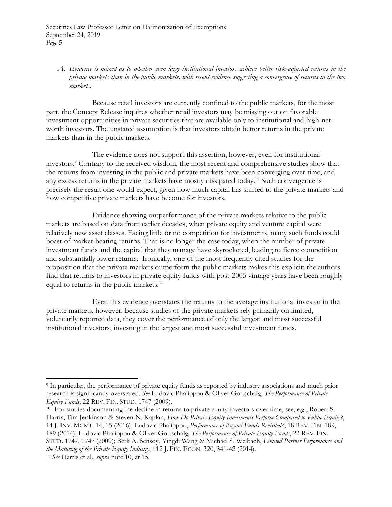#### *A. Evidence is mixed as to whether even large institutional investors achieve better risk-adjusted returns in the private markets than in the public markets, with recent evidence suggesting a convergence of returns in the two markets.*

Because retail investors are currently confined to the public markets, for the most part, the Concept Release inquires whether retail investors may be missing out on favorable investment opportunities in private securities that are available only to institutional and high-networth investors. The unstated assumption is that investors obtain better returns in the private markets than in the public markets.

The evidence does not support this assertion, however, even for institutional investors.<sup>9</sup> Contrary to the received wisdom, the most recent and comprehensive studies show that the returns from investing in the public and private markets have been converging over time, and any excess returns in the private markets have mostly dissipated today.<sup>10</sup> Such convergence is precisely the result one would expect, given how much capital has shifted to the private markets and how competitive private markets have become for investors.

Evidence showing outperformance of the private markets relative to the public markets are based on data from earlier decades, when private equity and venture capital were relatively new asset classes. Facing little or no competition for investments, many such funds could boast of market-beating returns. That is no longer the case today, when the number of private investment funds and the capital that they manage have skyrocketed, leading to fierce competition and substantially lower returns. Ironically, one of the most frequently cited studies for the proposition that the private markets outperform the public markets makes this explicit: the authors find that returns to investors in private equity funds with post-2005 vintage years have been roughly equal to returns in the public markets.<sup>11</sup>

Even this evidence overstates the returns to the average institutional investor in the private markets, however. Because studies of the private markets rely primarily on limited, voluntarily reported data, they cover the performance of only the largest and most successful institutional investors, investing in the largest and most successful investment funds.

l

<sup>9</sup> In particular, the performance of private equity funds as reported by industry associations and much prior research is significantly overstated. *See* Ludovic Phalippou & Oliver Gottschalg, *The Performance of Private Equity Funds*, 22 REV. FIN. STUD. 1747 (2009).

<sup>&</sup>lt;sup>10</sup> For studies documenting the decline in returns to private equity investors over time, see, e.g., Robert S. Harris, Tim Jenkinson & Steven N. Kaplan, *How Do Private Equity Investments Perform Compared to Public Equity?*, 14 J. INV. MGMT. 14, 15 (2016); Ludovic Phalippou, *Performance of Buyout Funds Revisited?*, 18 REV. FIN. 189, 189 (2014); Ludovic Phalippou & Oliver Gottschalg, *The Performance of Private Equity Funds*, 22 REV. FIN. STUD. 1747, 1747 (2009); Berk A. Sensoy, Yingdi Wang & Michael S. Weibach, *Limited Partner Performance and the Maturing of the Private Equity Industry*, 112 J. FIN. ECON. 320, 341-42 (2014).

<sup>11</sup> *See* Harris et al., *supra* note 10, at 15.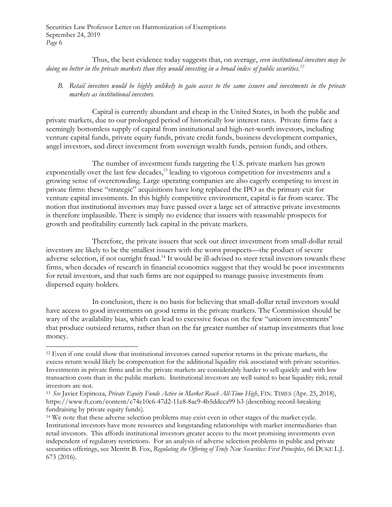$\overline{\phantom{a}}$ 

Thus, the best evidence today suggests that, on average, *even institutional investors may be doing no better in the private markets than they would investing in a broad index of public securities.<sup>12</sup>* 

#### *B. Retail investors would be highly unlikely to gain access to the same issuers and investments in the private markets as institutional investors.*

Capital is currently abundant and cheap in the United States, in both the public and private markets, due to our prolonged period of historically low interest rates. Private firms face a seemingly bottomless supply of capital from institutional and high-net-worth investors, including venture capital funds, private equity funds, private credit funds, business development companies, angel investors, and direct investment from sovereign wealth funds, pension funds, and others.

The number of investment funds targeting the U.S. private markets has grown exponentially over the last few decades,<sup>13</sup> leading to vigorous competition for investments and a growing sense of overcrowding. Large operating companies are also eagerly competing to invest in private firms: these "strategic" acquisitions have long replaced the IPO as the primary exit for venture capital investments. In this highly competitive environment, capital is far from scarce. The notion that institutional investors may have passed over a large set of attractive private investments is therefore implausible. There is simply no evidence that issuers with reasonable prospects for growth and profitability currently lack capital in the private markets.

Therefore, the private issuers that seek out direct investment from small-dollar retail investors are likely to be the smallest issuers with the worst prospects—the product of severe adverse selection, if not outright fraud.<sup>14</sup> It would be ill-advised to steer retail investors towards these firms, when decades of research in financial economics suggest that they would be poor investments for retail investors, and that such firms are not equipped to manage passive investments from dispersed equity holders.

In conclusion, there is no basis for believing that small-dollar retail investors would have access to good investments on good terms in the private markets. The Commission should be wary of the availability bias, which can lead to excessive focus on the few "unicorn investments" that produce outsized returns, rather than on the far greater number of startup investments that lose money.

<sup>12</sup> Even if one could show that institutional investors earned superior returns in the private markets, the excess return would likely be compensation for the additional liquidity risk associated with private securities. Investments in private firms and in the private markets are considerably harder to sell quickly and with low transaction costs than in the public markets. Institutional investors are well suited to bear liquidity risk; retail investors are not.

<sup>13</sup> *See* Javier Espinoza, *Private Equity Funds Active in Market Reach All-Time High*, FIN. TIMES (Apr. 25, 2018), https://www.ft.com/content/c74e10c6-47d2-11e8-8ae9-4b5ddcca99 b3 (describing record-breaking fundraising by private equity funds).

<sup>14</sup> We note that these adverse selection problems may exist even in other stages of the market cycle. Institutional investors have more resources and longstanding relationships with market intermediaries than retail investors. This affords institutional investors greater access to the most promising investments even independent of regulatory restrictions. For an analysis of adverse selection problems in public and private securities offerings, see Merritt B. Fox, *Regulating the Offering of Truly New Securities: First Principles*, 66 DUKE L.J. 673 (2016).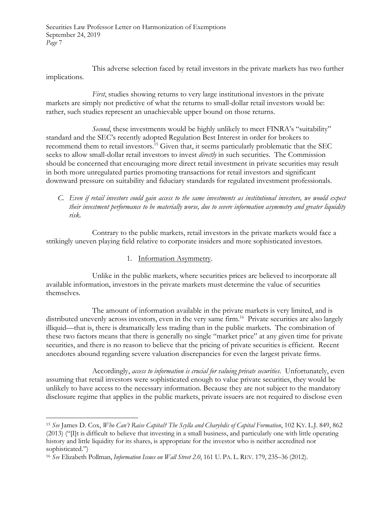This adverse selection faced by retail investors in the private markets has two further implications.

*First*, studies showing returns to very large institutional investors in the private markets are simply not predictive of what the returns to small-dollar retail investors would be: rather, such studies represent an unachievable upper bound on those returns.

*Second*, these investments would be highly unlikely to meet FINRA's "suitability" standard and the SEC's recently adopted Regulation Best Interest in order for brokers to recommend them to retail investors.<sup>15</sup> Given that, it seems particularly problematic that the SEC seeks to allow small-dollar retail investors to invest *directly* in such securities. The Commission should be concerned that encouraging more direct retail investment in private securities may result in both more unregulated parties promoting transactions for retail investors and significant downward pressure on suitability and fiduciary standards for regulated investment professionals.

*C. Even if retail investors could gain access to the same investments as institutional investors, we would expect their investment performance to be materially worse, due to severe information asymmetry and greater liquidity risk.*

Contrary to the public markets, retail investors in the private markets would face a strikingly uneven playing field relative to corporate insiders and more sophisticated investors.

# 1. Information Asymmetry.

Unlike in the public markets, where securities prices are believed to incorporate all available information, investors in the private markets must determine the value of securities themselves.

The amount of information available in the private markets is very limited, and is distributed unevenly across investors, even in the very same firm.<sup>16</sup> Private securities are also largely illiquid—that is, there is dramatically less trading than in the public markets. The combination of these two factors means that there is generally no single "market price" at any given time for private securities, and there is no reason to believe that the pricing of private securities is efficient. Recent anecdotes abound regarding severe valuation discrepancies for even the largest private firms.

Accordingly, *access to information is crucial for valuing private securities*. Unfortunately, even assuming that retail investors were sophisticated enough to value private securities, they would be unlikely to have access to the necessary information. Because they are not subject to the mandatory disclosure regime that applies in the public markets, private issuers are not required to disclose even

<sup>15</sup> *See* James D. Cox, *Who Can't Raise Capital? The Scylla and Charybdis of Capital Formation*, 102 KY. L.J. 849, 862 (2013) ("[I]t is difficult to believe that investing in a small business, and particularly one with little operating history and little liquidity for its shares, is appropriate for the investor who is neither accredited nor sophisticated.")

<sup>16</sup> *See* Elizabeth Pollman, *Information Issues on Wall Street 2.0*, 161 U. PA. L. REV. 179, 235–36 (2012).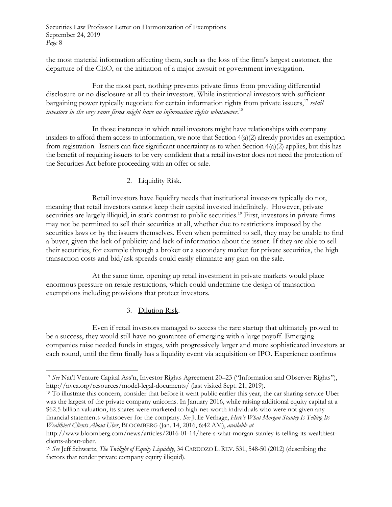the most material information affecting them, such as the loss of the firm's largest customer, the departure of the CEO, or the initiation of a major lawsuit or government investigation.

For the most part, nothing prevents private firms from providing differential disclosure or no disclosure at all to their investors. While institutional investors with sufficient bargaining power typically negotiate for certain information rights from private issuers,<sup>17</sup> *retail investors in the very same firms might have no information rights whatsoever*. 18

In those instances in which retail investors might have relationships with company insiders to afford them access to information, we note that Section 4(a)(2) already provides an exemption from registration. Issuers can face significant uncertainty as to when Section 4(a)(2) applies, but this has the benefit of requiring issuers to be very confident that a retail investor does not need the protection of the Securities Act before proceeding with an offer or sale.

# 2. Liquidity Risk.

Retail investors have liquidity needs that institutional investors typically do not, meaning that retail investors cannot keep their capital invested indefinitely. However, private securities are largely illiquid, in stark contrast to public securities.<sup>19</sup> First, investors in private firms may not be permitted to sell their securities at all, whether due to restrictions imposed by the securities laws or by the issuers themselves. Even when permitted to sell, they may be unable to find a buyer, given the lack of publicity and lack of information about the issuer. If they are able to sell their securities, for example through a broker or a secondary market for private securities, the high transaction costs and bid/ask spreads could easily eliminate any gain on the sale.

At the same time, opening up retail investment in private markets would place enormous pressure on resale restrictions, which could undermine the design of transaction exemptions including provisions that protect investors.

# 3. Dilution Risk.

Even if retail investors managed to access the rare startup that ultimately proved to be a success, they would still have no guarantee of emerging with a large payoff. Emerging companies raise needed funds in stages, with progressively larger and more sophisticated investors at each round, until the firm finally has a liquidity event via acquisition or IPO. Experience confirms

 $\overline{\phantom{a}}$ <sup>17</sup> *See* Nat'l Venture Capital Ass'n, Investor Rights Agreement 20–23 ("Information and Observer Rights"), http://nvca.org/resources/model-legal-documents/ (last visited Sept. 21, 2019).

<sup>&</sup>lt;sup>18</sup> To illustrate this concern, consider that before it went public earlier this year, the car sharing service Uber was the largest of the private company unicorns. In January 2016, while raising additional equity capital at a \$62.5 billion valuation, its shares were marketed to high-net-worth individuals who were not given any financial statements whatsoever for the company. *See* Julie Verhage, *Here's What Morgan Stanley Is Telling Its Wealthiest Clients About Uber*, BLOOMBERG (Jan. 14, 2016, 6:42 AM), *available at*

http://www.bloomberg.com/news/articles/2016-01-14/here-s-what-morgan-stanley-is-telling-its-wealthiestclients-about-uber.

<sup>19</sup> *See* Jeff Schwartz, *The Twilight of Equity Liquidity*, 34 CARDOZO L. REV. 531, 548-50 (2012) (describing the factors that render private company equity illiquid).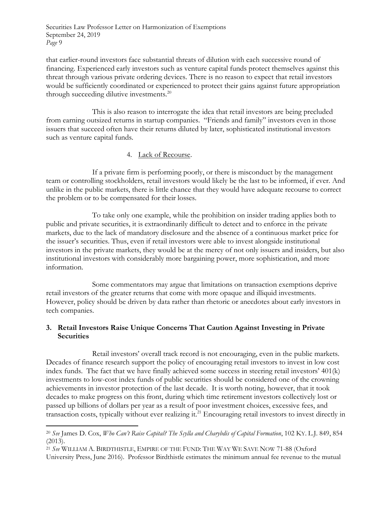that earlier-round investors face substantial threats of dilution with each successive round of financing. Experienced early investors such as venture capital funds protect themselves against this threat through various private ordering devices. There is no reason to expect that retail investors would be sufficiently coordinated or experienced to protect their gains against future appropriation through succeeding dilutive investments.<sup>20</sup>

This is also reason to interrogate the idea that retail investors are being precluded from earning outsized returns in startup companies. "Friends and family" investors even in those issuers that succeed often have their returns diluted by later, sophisticated institutional investors such as venture capital funds.

#### 4. Lack of Recourse.

If a private firm is performing poorly, or there is misconduct by the management team or controlling stockholders, retail investors would likely be the last to be informed, if ever. And unlike in the public markets, there is little chance that they would have adequate recourse to correct the problem or to be compensated for their losses.

To take only one example, while the prohibition on insider trading applies both to public and private securities, it is extraordinarily difficult to detect and to enforce in the private markets, due to the lack of mandatory disclosure and the absence of a continuous market price for the issuer's securities. Thus, even if retail investors were able to invest alongside institutional investors in the private markets, they would be at the mercy of not only issuers and insiders, but also institutional investors with considerably more bargaining power, more sophistication, and more information.

Some commentators may argue that limitations on transaction exemptions deprive retail investors of the greater returns that come with more opaque and illiquid investments. However, policy should be driven by data rather than rhetoric or anecdotes about early investors in tech companies.

#### **3. Retail Investors Raise Unique Concerns That Caution Against Investing in Private Securities**

Retail investors' overall track record is not encouraging, even in the public markets. Decades of finance research support the policy of encouraging retail investors to invest in low cost index funds. The fact that we have finally achieved some success in steering retail investors' 401(k) investments to low-cost index funds of public securities should be considered one of the crowning achievements in investor protection of the last decade. It is worth noting, however, that it took decades to make progress on this front, during which time retirement investors collectively lost or passed up billions of dollars per year as a result of poor investment choices, excessive fees, and transaction costs, typically without ever realizing it.<sup>21</sup> Encouraging retail investors to invest directly in

<sup>20</sup> *See* James D. Cox, *Who Can't Raise Capital? The Scylla and Charybdis of Capital Formation*, 102 KY. L.J. 849, 854 (2013).

<sup>21</sup> *See* WILLIAM A. BIRDTHISTLE, EMPIRE OF THE FUND: THE WAY WE SAVE NOW 71-88 (Oxford University Press, June 2016). Professor Birdthistle estimates the minimum annual fee revenue to the mutual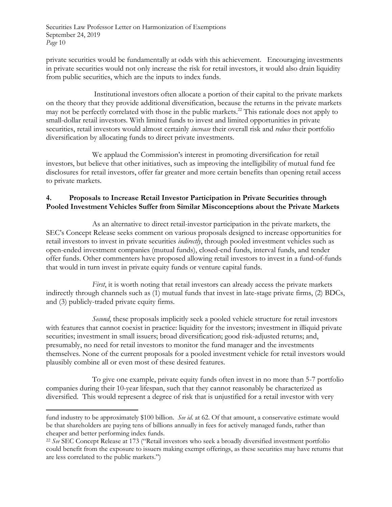private securities would be fundamentally at odds with this achievement. Encouraging investments in private securities would not only increase the risk for retail investors, it would also drain liquidity from public securities, which are the inputs to index funds.

Institutional investors often allocate a portion of their capital to the private markets on the theory that they provide additional diversification, because the returns in the private markets may not be perfectly correlated with those in the public markets.<sup>22</sup> This rationale does not apply to small-dollar retail investors. With limited funds to invest and limited opportunities in private securities, retail investors would almost certainly *increase* their overall risk and *reduce* their portfolio diversification by allocating funds to direct private investments.

We applaud the Commission's interest in promoting diversification for retail investors, but believe that other initiatives, such as improving the intelligibility of mutual fund fee disclosures for retail investors, offer far greater and more certain benefits than opening retail access to private markets.

#### **4. Proposals to Increase Retail Investor Participation in Private Securities through Pooled Investment Vehicles Suffer from Similar Misconceptions about the Private Markets**

As an alternative to direct retail-investor participation in the private markets, the SEC's Concept Release seeks comment on various proposals designed to increase opportunities for retail investors to invest in private securities *indirectly*, through pooled investment vehicles such as open-ended investment companies (mutual funds), closed-end funds, interval funds, and tender offer funds. Other commenters have proposed allowing retail investors to invest in a fund-of-funds that would in turn invest in private equity funds or venture capital funds.

*First*, it is worth noting that retail investors can already access the private markets indirectly through channels such as (1) mutual funds that invest in late-stage private firms, (2) BDCs, and (3) publicly-traded private equity firms.

*Second*, these proposals implicitly seek a pooled vehicle structure for retail investors with features that cannot coexist in practice: liquidity for the investors; investment in illiquid private securities; investment in small issuers; broad diversification; good risk-adjusted returns; and, presumably, no need for retail investors to monitor the fund manager and the investments themselves. None of the current proposals for a pooled investment vehicle for retail investors would plausibly combine all or even most of these desired features.

To give one example, private equity funds often invest in no more than 5-7 portfolio companies during their 10-year lifespan, such that they cannot reasonably be characterized as diversified. This would represent a degree of risk that is unjustified for a retail investor with very

fund industry to be approximately \$100 billion. *See id*. at 62. Of that amount, a conservative estimate would be that shareholders are paying tens of billions annually in fees for actively managed funds, rather than cheaper and better performing index funds.

<sup>22</sup> *See* SEC Concept Release at 173 ("Retail investors who seek a broadly diversified investment portfolio could benefit from the exposure to issuers making exempt offerings, as these securities may have returns that are less correlated to the public markets.")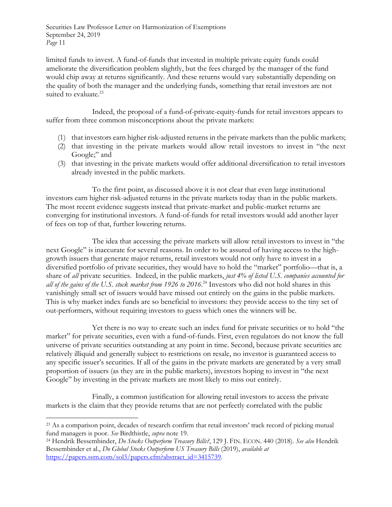limited funds to invest. A fund-of-funds that invested in multiple private equity funds could ameliorate the diversification problem slightly, but the fees charged by the manager of the fund would chip away at returns significantly. And these returns would vary substantially depending on the quality of both the manager and the underlying funds, something that retail investors are not suited to evaluate.<sup>23</sup>

Indeed, the proposal of a fund-of-private-equity-funds for retail investors appears to suffer from three common misconceptions about the private markets:

- (1) that investors earn higher risk-adjusted returns in the private markets than the public markets;
- (2) that investing in the private markets would allow retail investors to invest in "the next Google;" and
- (3) that investing in the private markets would offer additional diversification to retail investors already invested in the public markets.

To the first point, as discussed above it is not clear that even large institutional investors earn higher risk-adjusted returns in the private markets today than in the public markets. The most recent evidence suggests instead that private-market and public-market returns are converging for institutional investors. A fund-of-funds for retail investors would add another layer of fees on top of that, further lowering returns.

The idea that accessing the private markets will allow retail investors to invest in "the next Google" is inaccurate for several reasons. In order to be assured of having access to the highgrowth issuers that generate major returns, retail investors would not only have to invest in a diversified portfolio of private securities, they would have to hold the "market" portfolio—that is, a share of *all* private securities. Indeed, in the public markets, *just 4% of listed U.S. companies accounted for all of the gains of the U.S. stock market from 1926 to 2016*. <sup>24</sup> Investors who did not hold shares in this vanishingly small set of issuers would have missed out entirely on the gains in the public markets. This is why market index funds are so beneficial to investors: they provide access to the tiny set of out-performers, without requiring investors to guess which ones the winners will be.

Yet there is no way to create such an index fund for private securities or to hold "the market" for private securities, even with a fund-of-funds. First, even regulators do not know the full universe of private securities outstanding at any point in time. Second, because private securities are relatively illiquid and generally subject to restrictions on resale, no investor is guaranteed access to any specific issuer's securities. If all of the gains in the private markets are generated by a very small proportion of issuers (as they are in the public markets), investors hoping to invest in "the next Google" by investing in the private markets are most likely to miss out entirely.

Finally, a common justification for allowing retail investors to access the private markets is the claim that they provide returns that are not perfectly correlated with the public

<sup>23</sup> As a comparison point, decades of research confirm that retail investors' track record of picking mutual fund managers is poor. *See* Birdthistle, *supra* note 19.

<sup>24</sup> Hendrik Bessembinder, *Do Stocks Outperform Treasury Bills?*, 129 J. FIN. ECON. 440 (2018). *See also* Hendrik Bessembinder et al., *Do Global Stocks Outperform US Treasury Bills* (2019), *available at* [https://papers.ssrn.com/sol3/papers.cfm?abstract\\_id=3415739.](https://papers.ssrn.com/sol3/papers.cfm?abstract_id=3415739)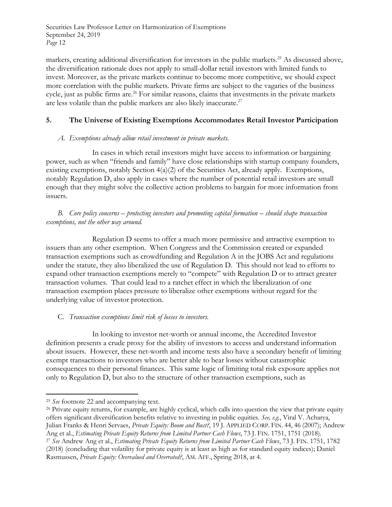markets, creating additional diversification for investors in the public markets.<sup>25</sup> As discussed above, the diversification rationale does not apply to small-dollar retail investors with limited funds to invest. Moreover, as the private markets continue to become more competitive, we should expect more correlation with the public markets. Private firms are subject to the vagaries of the business cycle, just as public firms are.<sup>26</sup> For similar reasons, claims that investments in the private markets are less volatile than the public markets are also likely inaccurate.<sup>27</sup>

# **5. The Universe of Existing Exemptions Accommodates Retail Investor Participation**

#### *A. Exemptions already allow retail investment in private markets.*

In cases in which retail investors might have access to information or bargaining power, such as when "friends and family" have close relationships with startup company founders, existing exemptions, notably Section 4(a)(2) of the Securities Act, already apply. Exemptions, notably Regulation D, also apply in cases where the number of potential retail investors are small enough that they might solve the collective action problems to bargain for more information from issuers.

*B. Core policy concerns – protecting investors and promoting capital formation – should shape transaction exemptions, not the other way around.*

Regulation D seems to offer a much more permissive and attractive exemption to issuers than any other exemption. When Congress and the Commission created or expanded transaction exemptions such as crowdfunding and Regulation A in the JOBS Act and regulations under the statute, they also liberalized the use of Regulation D. This should not lead to efforts to expand other transaction exemptions merely to "compete" with Regulation D or to attract greater transaction volumes. That could lead to a ratchet effect in which the liberalization of one transaction exemption places pressure to liberalize other exemptions without regard for the underlying value of investor protection.

#### C. *Transaction exemptions limit risk of losses to investors.*

In looking to investor net-worth or annual income, the Accredited Investor definition presents a crude proxy for the ability of investors to access and understand information about issuers. However, these net-worth and income tests also have a secondary benefit of limiting exempt transactions to investors who are better able to bear losses without catastrophic consequences to their personal finances. This same logic of limiting total risk exposure applies not only to Regulation D, but also to the structure of other transaction exemptions, such as

 $\overline{\phantom{a}}$ 

<sup>26</sup> Private equity returns, for example, are highly cyclical, which calls into question the view that private equity offers significant diversification benefits relative to investing in public equities. *See, e.g.*, Viral V. Acharya, Julian Franks & Henri Servaes, *Private Equity: Boom and Bust?*, 19 J. APPLIED CORP. FIN. 44, 46 (2007); Andrew Ang et al., *Estimating Private Equity Returns from Limited Partner Cash Flows*, 73 J. FIN. 1751, 1751 (2018). <sup>27</sup> *See* Andrew Ang et al., *Estimating Private Equity Returns from Limited Partner Cash Flows*, 73 J. FIN. 1751, 1782 (2018) (concluding that volatility for private equity is at least as high as for standard equity indices); Daniel Rasmussen, *Private Equity: Overvalued and Overrated?*, AM. AFF., Spring 2018, at 4.

<sup>25</sup> *See* footnote 22 and accompanying text.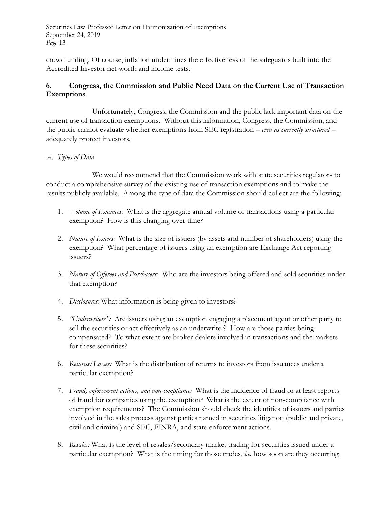crowdfunding. Of course, inflation undermines the effectiveness of the safeguards built into the Accredited Investor net-worth and income tests.

#### **6. Congress, the Commission and Public Need Data on the Current Use of Transaction Exemptions**

Unfortunately, Congress, the Commission and the public lack important data on the current use of transaction exemptions. Without this information, Congress, the Commission, and the public cannot evaluate whether exemptions from SEC registration – *even as currently structured* – adequately protect investors.

#### *A. Types of Data*

We would recommend that the Commission work with state securities regulators to conduct a comprehensive survey of the existing use of transaction exemptions and to make the results publicly available. Among the type of data the Commission should collect are the following:

- 1. *Volume of Issuances:* What is the aggregate annual volume of transactions using a particular exemption? How is this changing over time?
- 2. *Nature of Issuers:* What is the size of issuers (by assets and number of shareholders) using the exemption? What percentage of issuers using an exemption are Exchange Act reporting issuers?
- 3. *Nature of Offerees and Purchasers:* Who are the investors being offered and sold securities under that exemption?
- 4. *Disclosures:* What information is being given to investors?
- 5. *"Underwriters":* Are issuers using an exemption engaging a placement agent or other party to sell the securities or act effectively as an underwriter? How are those parties being compensated? To what extent are broker-dealers involved in transactions and the markets for these securities?
- 6. *Returns/Losses:* What is the distribution of returns to investors from issuances under a particular exemption?
- 7. *Fraud, enforcement actions, and non-compliance:* What is the incidence of fraud or at least reports of fraud for companies using the exemption? What is the extent of non-compliance with exemption requirements? The Commission should check the identities of issuers and parties involved in the sales process against parties named in securities litigation (public and private, civil and criminal) and SEC, FINRA, and state enforcement actions.
- 8. *Resales:* What is the level of resales/secondary market trading for securities issued under a particular exemption? What is the timing for those trades, *i.e.* how soon are they occurring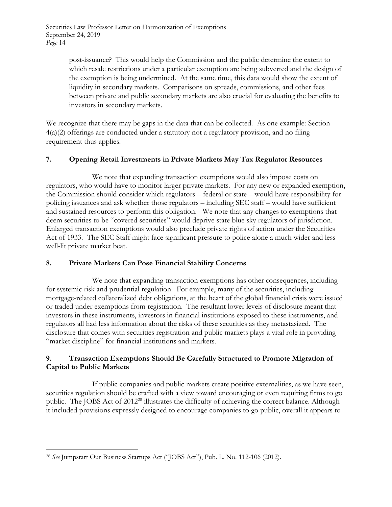post-issuance? This would help the Commission and the public determine the extent to which resale restrictions under a particular exemption are being subverted and the design of the exemption is being undermined. At the same time, this data would show the extent of liquidity in secondary markets. Comparisons on spreads, commissions, and other fees between private and public secondary markets are also crucial for evaluating the benefits to investors in secondary markets.

We recognize that there may be gaps in the data that can be collected. As one example: Section 4(a)(2) offerings are conducted under a statutory not a regulatory provision, and no filing requirement thus applies.

# **7. Opening Retail Investments in Private Markets May Tax Regulator Resources**

We note that expanding transaction exemptions would also impose costs on regulators, who would have to monitor larger private markets. For any new or expanded exemption, the Commission should consider which regulators – federal or state – would have responsibility for policing issuances and ask whether those regulators – including SEC staff – would have sufficient and sustained resources to perform this obligation. We note that any changes to exemptions that deem securities to be "covered securities" would deprive state blue sky regulators of jurisdiction. Enlarged transaction exemptions would also preclude private rights of action under the Securities Act of 1933. The SEC Staff might face significant pressure to police alone a much wider and less well-lit private market beat.

# **8. Private Markets Can Pose Financial Stability Concerns**

We note that expanding transaction exemptions has other consequences, including for systemic risk and prudential regulation. For example, many of the securities, including mortgage-related collateralized debt obligations, at the heart of the global financial crisis were issued or traded under exemptions from registration. The resultant lower levels of disclosure meant that investors in these instruments, investors in financial institutions exposed to these instruments, and regulators all had less information about the risks of these securities as they metastasized. The disclosure that comes with securities registration and public markets plays a vital role in providing "market discipline" for financial institutions and markets.

#### **9. Transaction Exemptions Should Be Carefully Structured to Promote Migration of Capital to Public Markets**

If public companies and public markets create positive externalities, as we have seen, securities regulation should be crafted with a view toward encouraging or even requiring firms to go public. The JOBS Act of 2012<sup>28</sup> illustrates the difficulty of achieving the correct balance. Although it included provisions expressly designed to encourage companies to go public, overall it appears to

 $\overline{\phantom{a}}$ <sup>28</sup> *See* Jumpstart Our Business Startups Act ("JOBS Act"), Pub. L. No. 112-106 (2012).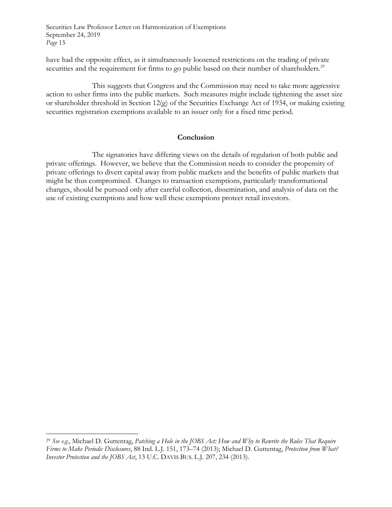have had the opposite effect, as it simultaneously loosened restrictions on the trading of private securities and the requirement for firms to go public based on their number of shareholders.<sup>29</sup>

This suggests that Congress and the Commission may need to take more aggressive action to usher firms into the public markets. Such measures might include tightening the asset size or shareholder threshold in Section 12(g) of the Securities Exchange Act of 1934, or making existing securities registration exemptions available to an issuer only for a fixed time period.

#### **Conclusion**

The signatories have differing views on the details of regulation of both public and private offerings. However, we believe that the Commission needs to consider the propensity of private offerings to divert capital away from public markets and the benefits of public markets that might be thus compromised. Changes to transaction exemptions, particularly transformational changes, should be pursued only after careful collection, dissemination, and analysis of data on the use of existing exemptions and how well these exemptions protect retail investors.

<sup>29</sup> *See e.g.*, Michael D. Guttentag, *Patching a Hole in the JOBS Act: How and Why to Rewrite the Rules That Require Firms to Make Periodic Disclosures*, 88 Ind. L.J. 151, 173–74 (2013); Michael D. Guttentag, *Protection from What? Investor Protection and the JOBS Act*, 13 U.C. DAVIS BUS. L.J. 207, 234 (2013).